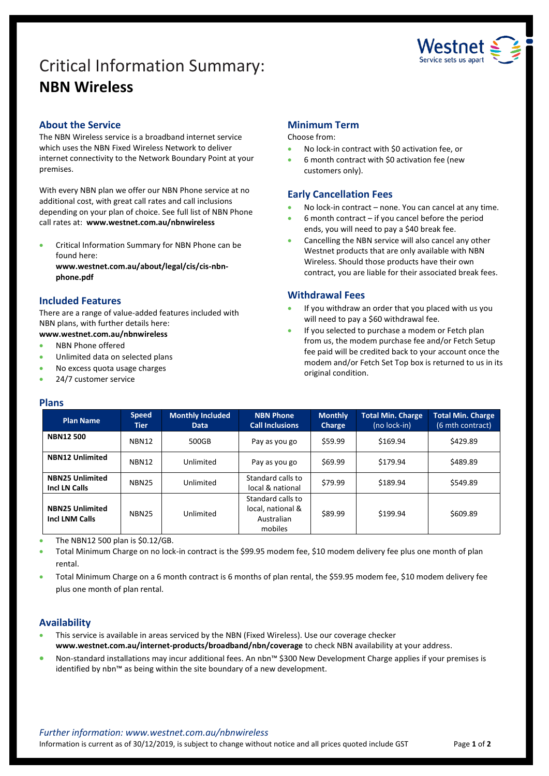# Critical Information Summary: **NBN Wireless**



# **About the Service**

The NBN Wireless service is a broadband internet service which uses the NBN Fixed Wireless Network to deliver internet connectivity to the Network Boundary Point at your premises.

With every NBN plan we offer our NBN Phone service at no additional cost, with great call rates and call inclusions depending on your plan of choice. See full list of NBN Phone call rates at: **www.westnet.com.au/nbnwireless**

 Critical Information Summary for NBN Phone can be found here:

**www.westnet.com.au/about/legal/cis/cis-nbnphone.pdf**

## **Included Features**

There are a range of value-added features included with NBN plans, with further details here:

### **www.westnet.com.au/nbnwireless**

- NBN Phone offered
- Unlimited data on selected plans
- No excess quota usage charges
- 24/7 customer service

#### **Plans**

#### **Minimum Term**

#### Choose from:

- No lock-in contract with \$0 activation fee, or
- 6 month contract with \$0 activation fee (new customers only).

#### **Early Cancellation Fees**

- No lock-in contract none. You can cancel at any time.
- 6 month contract if you cancel before the period ends, you will need to pay a \$40 break fee.
- Cancelling the NBN service will also cancel any other Westnet products that are only available with NBN Wireless. Should those products have their own contract, you are liable for their associated break fees.

#### **Withdrawal Fees**

- If you withdraw an order that you placed with us you will need to pay a \$60 withdrawal fee.
- If you selected to purchase a modem or Fetch plan from us, the modem purchase fee and/or Fetch Setup fee paid will be credited back to your account once the modem and/or Fetch Set Top box is returned to us in its original condition.

| <b>Plan Name</b>                                | <b>Speed</b><br><b>Tier</b> | <b>Monthly Included</b><br>Data | <b>NBN Phone</b><br><b>Call Inclusions</b>                      | <b>Monthly</b><br><b>Charge</b> | <b>Total Min. Charge</b><br>(no lock-in) | Total Min. Charge<br>(6 mth contract) |
|-------------------------------------------------|-----------------------------|---------------------------------|-----------------------------------------------------------------|---------------------------------|------------------------------------------|---------------------------------------|
| <b>NBN12500</b>                                 | <b>NBN12</b>                | 500GB                           | Pay as you go                                                   | \$59.99                         | \$169.94                                 | \$429.89                              |
| <b>NBN12 Unlimited</b>                          | <b>NBN12</b>                | Unlimited                       | Pay as you go                                                   | \$69.99                         | \$179.94                                 | \$489.89                              |
| <b>NBN25 Unlimited</b><br>Incl LN Calls         | <b>NBN25</b>                | Unlimited                       | Standard calls to<br>local & national                           | \$79.99                         | \$189.94                                 | \$549.89                              |
| <b>NBN25 Unlimited</b><br><b>Incl LNM Calls</b> | <b>NBN25</b>                | Unlimited                       | Standard calls to<br>local, national &<br>Australian<br>mobiles | \$89.99                         | \$199.94                                 | \$609.89                              |

The NBN12 500 plan is \$0.12/GB.

- Total Minimum Charge on no lock-in contract is the \$99.95 modem fee, \$10 modem delivery fee plus one month of plan rental.
- Total Minimum Charge on a 6 month contract is 6 months of plan rental, the \$59.95 modem fee, \$10 modem delivery fee plus one month of plan rental.

### **Availability**

- This service is available in areas serviced by the NBN (Fixed Wireless). Use ou[r coverage checker](https://www.westnet.com.au/internet-products/broadband/nbn/coverage/) **www.westnet.com.au/internet-products/broadband/nbn/coverage** to check NBN availability at your address.
- Non-standard installations may incur additional fees. An nbn™ \$300 New Development Charge applies if your premises is identified by nbn™ as being within the site boundary of a new development.